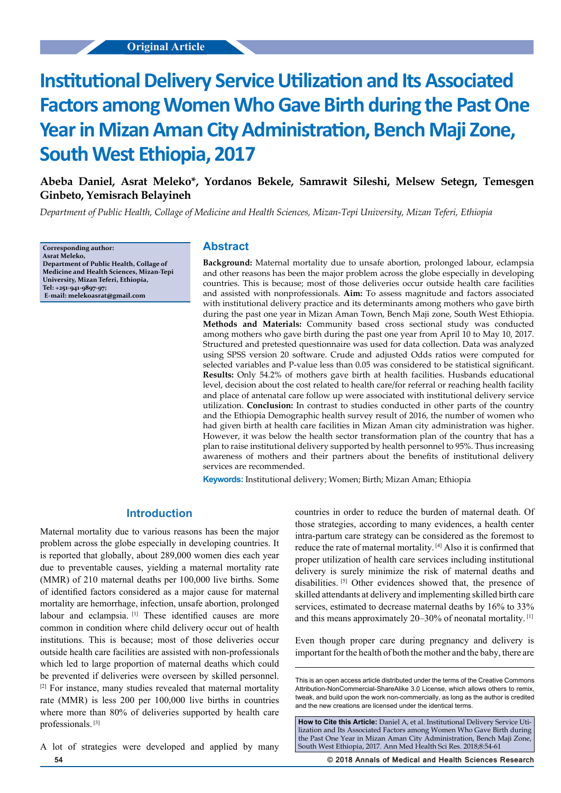**Abeba Daniel, Asrat Meleko\*, Yordanos Bekele, Samrawit Sileshi, Melsew Setegn, Temesgen Ginbeto, Yemisrach Belayineh**

*Department of Public Health, Collage of Medicine and Health Sciences, Mizan-Tepi University, Mizan Teferi, Ethiopia*

**Corresponding author: Asrat Meleko, Department of Public Health, Collage of Medicine and Health Sciences, Mizan-Tepi University, Mizan Teferi, Ethiopia, Tel: +251-941-9897-97; E-mail: melekoasrat@gmail.com**

## **Abstract**

**Background:** Maternal mortality due to unsafe abortion, prolonged labour, eclampsia and other reasons has been the major problem across the globe especially in developing countries. This is because; most of those deliveries occur outside health care facilities and assisted with nonprofessionals. **Aim:** To assess magnitude and factors associated with institutional delivery practice and its determinants among mothers who gave birth during the past one year in Mizan Aman Town, Bench Maji zone, South West Ethiopia. **Methods and Materials:** Community based cross sectional study was conducted among mothers who gave birth during the past one year from April 10 to May 10, 2017. Structured and pretested questionnaire was used for data collection. Data was analyzed using SPSS version 20 software. Crude and adjusted Odds ratios were computed for selected variables and P-value less than 0.05 was considered to be statistical significant. **Results:** Only 54.2% of mothers gave birth at health facilities. Husbands educational level, decision about the cost related to health care/for referral or reaching health facility and place of antenatal care follow up were associated with institutional delivery service utilization. **Conclusion:** In contrast to studies conducted in other parts of the country and the Ethiopia Demographic health survey result of 2016, the number of women who had given birth at health care facilities in Mizan Aman city administration was higher. However, it was below the health sector transformation plan of the country that has a plan to raise institutional delivery supported by health personnel to 95%. Thus increasing awareness of mothers and their partners about the benefits of institutional delivery services are recommended.

**Keywords:** Institutional delivery; Women; Birth; Mizan Aman; Ethiopia

## **Introduction**

Maternal mortality due to various reasons has been the major problem across the globe especially in developing countries. It is reported that globally, about 289,000 women dies each year due to preventable causes, yielding a maternal mortality rate (MMR) of 210 maternal deaths per 100,000 live births. Some of identified factors considered as a major cause for maternal mortality are hemorrhage, infection, unsafe abortion, prolonged labour and eclampsia.<sup>[1]</sup> These identified causes are more common in condition where child delivery occur out of health institutions. This is because; most of those deliveries occur outside health care facilities are assisted with non-professionals which led to large proportion of maternal deaths which could be prevented if deliveries were overseen by skilled personnel. [2] For instance, many studies revealed that maternal mortality rate (MMR) is less 200 per 100,000 live births in countries where more than 80% of deliveries supported by health care professionals. [3]

**54 © 2018 Annals of Medical and Health Sciences Research**  A lot of strategies were developed and applied by many

countries in order to reduce the burden of maternal death. Of those strategies, according to many evidences, a health center intra-partum care strategy can be considered as the foremost to reduce the rate of maternal mortality. [4] Also it is confirmed that proper utilization of health care services including institutional delivery is surely minimize the risk of maternal deaths and disabilities. <sup>[5]</sup> Other evidences showed that, the presence of skilled attendants at delivery and implementing skilled birth care services, estimated to decrease maternal deaths by 16% to 33% and this means approximately 20–30% of neonatal mortality. [1]

Even though proper care during pregnancy and delivery is important for the health of both the mother and the baby, there are

**How to Cite this Article:** Daniel A, et al. Institutional Delivery Service Utilization and Its Associated Factors among Women Who Gave Birth during the Past One Year in Mizan Aman City Administration, Bench Maji Zone, South West Ethiopia, 2017. Ann Med Health Sci Res. 2018;8:54-61

This is an open access article distributed under the terms of the Creative Commons Attribution‑NonCommercial‑ShareAlike 3.0 License, which allows others to remix, tweak, and build upon the work non‑commercially, as long as the author is credited and the new creations are licensed under the identical terms.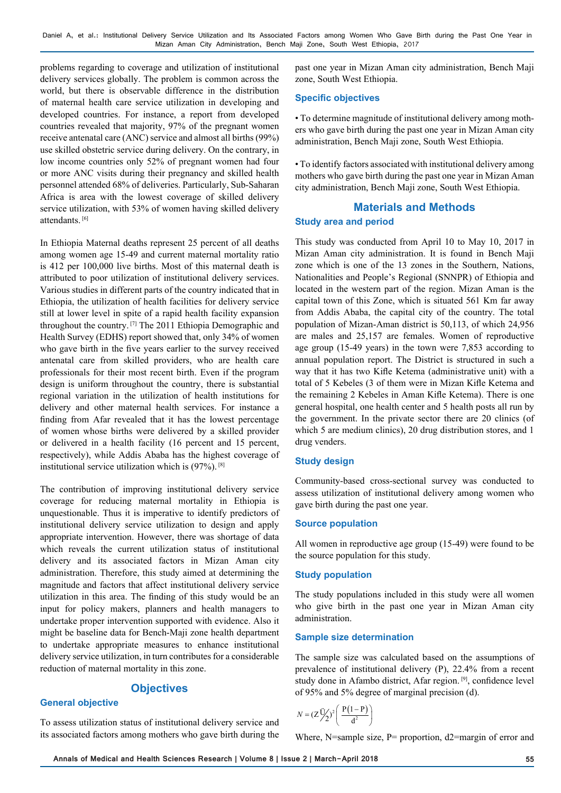problems regarding to coverage and utilization of institutional delivery services globally. The problem is common across the world, but there is observable difference in the distribution of maternal health care service utilization in developing and developed countries. For instance, a report from developed countries revealed that majority, 97% of the pregnant women receive antenatal care (ANC) service and almost all births (99%) use skilled obstetric service during delivery. On the contrary, in low income countries only 52% of pregnant women had four or more ANC visits during their pregnancy and skilled health personnel attended 68% of deliveries. Particularly, Sub-Saharan Africa is area with the lowest coverage of skilled delivery service utilization, with 53% of women having skilled delivery attendants. [6]

In Ethiopia Maternal deaths represent 25 percent of all deaths among women age 15-49 and current maternal mortality ratio is 412 per 100,000 live births. Most of this maternal death is attributed to poor utilization of institutional delivery services. Various studies in different parts of the country indicated that in Ethiopia, the utilization of health facilities for delivery service still at lower level in spite of a rapid health facility expansion throughout the country. [7] The 2011 Ethiopia Demographic and Health Survey (EDHS) report showed that, only 34% of women who gave birth in the five years earlier to the survey received antenatal care from skilled providers, who are health care professionals for their most recent birth. Even if the program design is uniform throughout the country, there is substantial regional variation in the utilization of health institutions for delivery and other maternal health services. For instance a finding from Afar revealed that it has the lowest percentage of women whose births were delivered by a skilled provider or delivered in a health facility (16 percent and 15 percent, respectively), while Addis Ababa has the highest coverage of institutional service utilization which is (97%). [8]

The contribution of improving institutional delivery service coverage for reducing maternal mortality in Ethiopia is unquestionable. Thus it is imperative to identify predictors of institutional delivery service utilization to design and apply appropriate intervention. However, there was shortage of data which reveals the current utilization status of institutional delivery and its associated factors in Mizan Aman city administration. Therefore, this study aimed at determining the magnitude and factors that affect institutional delivery service utilization in this area. The finding of this study would be an input for policy makers, planners and health managers to undertake proper intervention supported with evidence. Also it might be baseline data for Bench-Maji zone health department to undertake appropriate measures to enhance institutional delivery service utilization, in turn contributes for a considerable reduction of maternal mortality in this zone.

## **Objectives**

#### **General objective**

To assess utilization status of institutional delivery service and its associated factors among mothers who gave birth during the

past one year in Mizan Aman city administration, Bench Maji zone, South West Ethiopia.

#### **Specific objectives**

• To determine magnitude of institutional delivery among mothers who gave birth during the past one year in Mizan Aman city administration, Bench Maji zone, South West Ethiopia.

• To identify factors associated with institutional delivery among mothers who gave birth during the past one year in Mizan Aman city administration, Bench Maji zone, South West Ethiopia.

# **Materials and Methods Study area and period**

This study was conducted from April 10 to May 10, 2017 in Mizan Aman city administration. It is found in Bench Maji zone which is one of the 13 zones in the Southern, Nations, Nationalities and People's Regional (SNNPR) of Ethiopia and located in the western part of the region. Mizan Aman is the capital town of this Zone, which is situated 561 Km far away from Addis Ababa, the capital city of the country. The total population of Mizan-Aman district is 50,113, of which 24,956 are males and 25,157 are females. Women of reproductive age group (15-49 years) in the town were 7,853 according to annual population report. The District is structured in such a way that it has two Kifle Ketema (administrative unit) with a total of 5 Kebeles (3 of them were in Mizan Kifle Ketema and the remaining 2 Kebeles in Aman Kifle Ketema). There is one general hospital, one health center and 5 health posts all run by the government. In the private sector there are 20 clinics (of which 5 are medium clinics), 20 drug distribution stores, and 1 drug venders.

#### **Study design**

Community-based cross-sectional survey was conducted to assess utilization of institutional delivery among women who gave birth during the past one year.

#### **Source population**

All women in reproductive age group (15-49) were found to be the source population for this study.

#### **Study population**

The study populations included in this study were all women who give birth in the past one year in Mizan Aman city administration.

#### **Sample size determination**

The sample size was calculated based on the assumptions of prevalence of institutional delivery (P), 22.4% from a recent study done in Afambo district, Afar region.<sup>[9]</sup>, confidence level of 95% and 5% degree of marginal precision (d).

$$
N = (Z\frac{U}{2})^2 \left( \frac{P(1-P)}{d^2} \right)
$$

Where, N=sample size, P= proportion, d2=margin of error and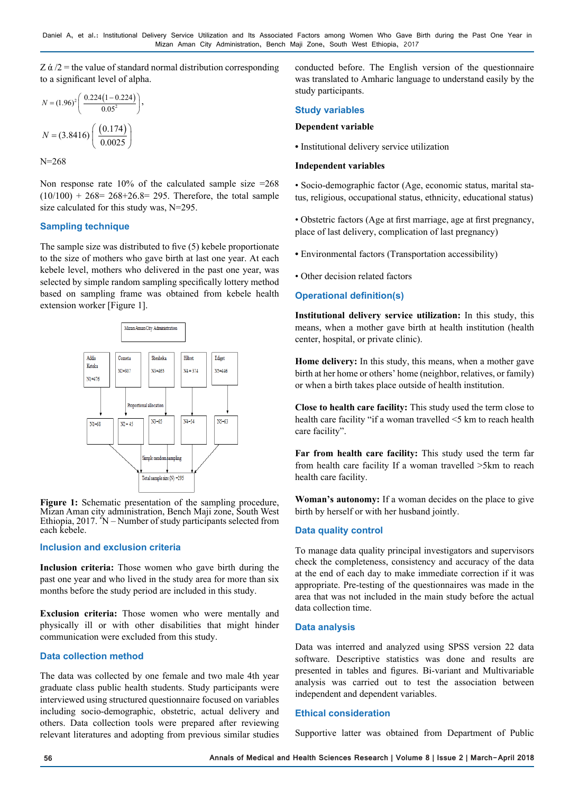Z  $\alpha/2$  = the value of standard normal distribution corresponding to a significant level of alpha.

$$
N = (1.96)^{2} \left( \frac{0.224(1 - 0.224)}{0.05^{2}} \right),
$$

$$
N = (3.8416) \left( \frac{(0.174)}{0.0025} \right)
$$

N=268

Non response rate  $10\%$  of the calculated sample size =268  $(10/100) + 268 = 268 + 26.8 = 295$ . Therefore, the total sample size calculated for this study was, N=295.

#### **Sampling technique**

The sample size was distributed to five (5) kebele proportionate to the size of mothers who gave birth at last one year. At each kebele level, mothers who delivered in the past one year, was selected by simple random sampling specifically lottery method based on sampling frame was obtained from kebele health extension worker [Figure 1].



Figure 1: Schematic presentation of the sampling procedure, Mizan Aman city administration, Bench Maji zone, South West Ethiopia, 2017. \* N – Number of study participants selected from each kebele.

#### **Inclusion and exclusion criteria**

**Inclusion criteria:** Those women who gave birth during the past one year and who lived in the study area for more than six months before the study period are included in this study.

**Exclusion criteria:** Those women who were mentally and physically ill or with other disabilities that might hinder communication were excluded from this study.

## **Data collection method**

The data was collected by one female and two male 4th year graduate class public health students. Study participants were interviewed using structured questionnaire focused on variables including socio-demographic, obstetric, actual delivery and others. Data collection tools were prepared after reviewing relevant literatures and adopting from previous similar studies

conducted before. The English version of the questionnaire was translated to Amharic language to understand easily by the study participants.

## **Study variables**

#### **Dependent variable**

**•** Institutional delivery service utilization

#### **Independent variables**

• Socio-demographic factor (Age, economic status, marital status, religious, occupational status, ethnicity, educational status)

• Obstetric factors (Age at first marriage, age at first pregnancy, place of last delivery, complication of last pregnancy)

**•** Environmental factors (Transportation accessibility)

• Other decision related factors

## **Operational definition(s)**

**Institutional delivery service utilization:** In this study, this means, when a mother gave birth at health institution (health center, hospital, or private clinic).

**Home delivery:** In this study, this means, when a mother gave birth at her home or others' home (neighbor, relatives, or family) or when a birth takes place outside of health institution.

**Close to health care facility:** This study used the term close to health care facility "if a woman travelled <5 km to reach health care facility".

**Far from health care facility:** This study used the term far from health care facility If a woman travelled >5km to reach health care facility.

**Woman's autonomy:** If a woman decides on the place to give birth by herself or with her husband jointly.

#### **Data quality control**

To manage data quality principal investigators and supervisors check the completeness, consistency and accuracy of the data at the end of each day to make immediate correction if it was appropriate. Pre-testing of the questionnaires was made in the area that was not included in the main study before the actual data collection time.

#### **Data analysis**

Data was interred and analyzed using SPSS version 22 data software. Descriptive statistics was done and results are presented in tables and figures. Bi-variant and Multivariable analysis was carried out to test the association between independent and dependent variables.

#### **Ethical consideration**

Supportive latter was obtained from Department of Public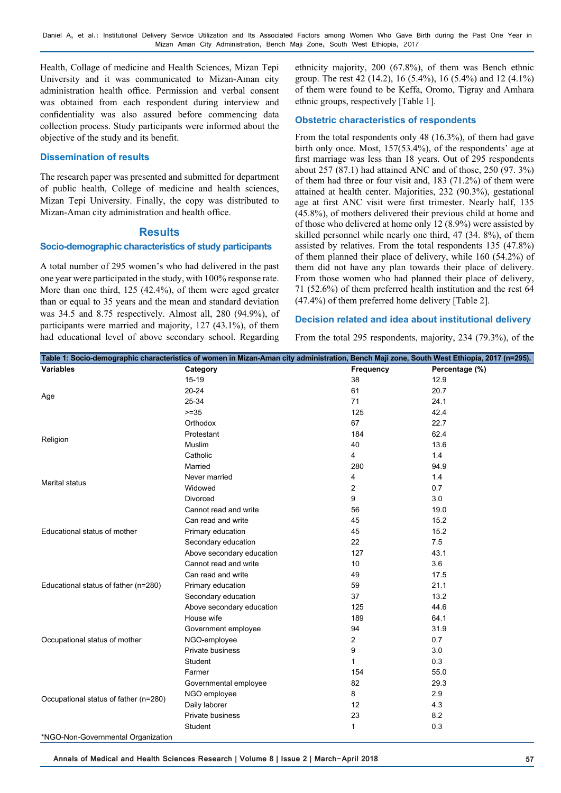Health, Collage of medicine and Health Sciences, Mizan Tepi University and it was communicated to Mizan-Aman city administration health office. Permission and verbal consent was obtained from each respondent during interview and confidentiality was also assured before commencing data collection process. Study participants were informed about the objective of the study and its benefit.

#### **Dissemination of results**

The research paper was presented and submitted for department of public health, College of medicine and health sciences, Mizan Tepi University. Finally, the copy was distributed to Mizan-Aman city administration and health office.

## **Results**

#### **Socio-demographic characteristics of study participants**

A total number of 295 women's who had delivered in the past one year were participated in the study, with 100% response rate. More than one third, 125 (42.4%), of them were aged greater than or equal to 35 years and the mean and standard deviation was 34.5 and 8.75 respectively. Almost all, 280 (94.9%), of participants were married and majority, 127 (43.1%), of them had educational level of above secondary school. Regarding

ethnicity majority, 200 (67.8%), of them was Bench ethnic group. The rest 42 (14.2), 16 (5.4%), 16 (5.4%) and 12 (4.1%) of them were found to be Keffa, Oromo, Tigray and Amhara ethnic groups, respectively [Table 1].

#### **Obstetric characteristics of respondents**

From the total respondents only 48 (16.3%), of them had gave birth only once. Most, 157(53.4%), of the respondents' age at first marriage was less than 18 years. Out of 295 respondents about 257 (87.1) had attained ANC and of those, 250 (97. 3%) of them had three or four visit and, 183 (71.2%) of them were attained at health center. Majorities, 232 (90.3%), gestational age at first ANC visit were first trimester. Nearly half, 135 (45.8%), of mothers delivered their previous child at home and of those who delivered at home only 12 (8.9%) were assisted by skilled personnel while nearly one third, 47 (34. 8%), of them assisted by relatives. From the total respondents 135 (47.8%) of them planned their place of delivery, while 160 (54.2%) of them did not have any plan towards their place of delivery. From those women who had planned their place of delivery, 71 (52.6%) of them preferred health institution and the rest 64 (47.4%) of them preferred home delivery [Table 2].

## **Decision related and idea about institutional delivery**

From the total 295 respondents, majority, 234 (79.3%), of the

|                                       | Table 1: Socio-demographic characteristics of women in Mizan-Aman city administration, Bench Maji zone, South West Ethiopia, 2017 (n=295). |              |                |
|---------------------------------------|--------------------------------------------------------------------------------------------------------------------------------------------|--------------|----------------|
| <b>Variables</b>                      | Category                                                                                                                                   | Frequency    | Percentage (%) |
|                                       | $15 - 19$                                                                                                                                  | 38           | 12.9           |
|                                       | $20 - 24$                                                                                                                                  | 61           | 20.7           |
| Age                                   | 25-34                                                                                                                                      | 71           | 24.1           |
|                                       | $>=35$                                                                                                                                     | 125          | 42.4           |
|                                       | Orthodox                                                                                                                                   | 67           | 22.7           |
| Religion                              | Protestant                                                                                                                                 | 184          | 62.4           |
|                                       | Muslim                                                                                                                                     | 40           | 13.6           |
|                                       | Catholic                                                                                                                                   | 4            | 1.4            |
|                                       | Married                                                                                                                                    | 280          | 94.9           |
| <b>Marital status</b>                 | Never married                                                                                                                              | 4            | 1.4            |
|                                       | Widowed                                                                                                                                    | 2            | 0.7            |
|                                       | <b>Divorced</b>                                                                                                                            | 9            | 3.0            |
|                                       | Cannot read and write                                                                                                                      | 56           | 19.0           |
|                                       | Can read and write                                                                                                                         | 45           | 15.2           |
| Educational status of mother          | Primary education                                                                                                                          | 45           | 15.2           |
|                                       | Secondary education                                                                                                                        | 22           | 7.5            |
|                                       | Above secondary education                                                                                                                  | 127          | 43.1           |
|                                       | Cannot read and write                                                                                                                      | 10           | 3.6            |
|                                       | Can read and write                                                                                                                         | 49           | 17.5           |
| Educational status of father (n=280)  | Primary education                                                                                                                          | 59           | 21.1           |
|                                       | Secondary education                                                                                                                        | 37           | 13.2           |
|                                       | Above secondary education                                                                                                                  | 125          | 44.6           |
|                                       | House wife                                                                                                                                 | 189          | 64.1           |
|                                       | Government employee                                                                                                                        | 94           | 31.9           |
| Occupational status of mother         | NGO-employee                                                                                                                               | 2            | 0.7            |
|                                       | Private business                                                                                                                           | 9            | 3.0            |
|                                       | Student                                                                                                                                    | $\mathbf{1}$ | 0.3            |
|                                       | Farmer                                                                                                                                     | 154          | 55.0           |
|                                       | Governmental employee                                                                                                                      | 82           | 29.3           |
| Occupational status of father (n=280) | NGO employee                                                                                                                               | 8            | 2.9            |
|                                       | Daily laborer                                                                                                                              | 12           | 4.3            |
|                                       | Private business                                                                                                                           | 23           | 8.2            |
|                                       | Student                                                                                                                                    | 1            | 0.3            |
|                                       |                                                                                                                                            |              |                |

\*NGO-Non-Governmental Organization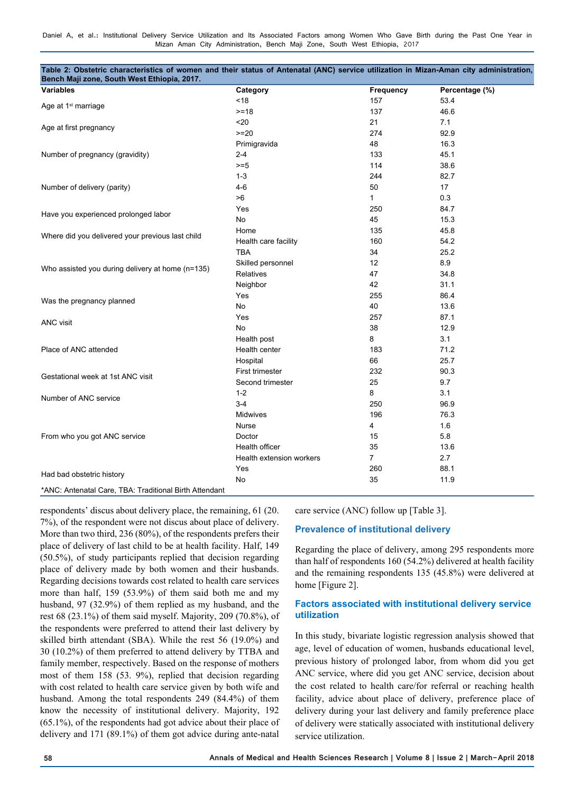| Table 2: Obstetric characteristics of women and their status of Antenatal (ANC) service utilization in Mizan-Aman city administration,<br>Bench Maji zone, South West Ethiopia, 2017. |                          |                |                |
|---------------------------------------------------------------------------------------------------------------------------------------------------------------------------------------|--------------------------|----------------|----------------|
| <b>Variables</b>                                                                                                                                                                      | Category                 | Frequency      | Percentage (%) |
|                                                                                                                                                                                       | < 18                     | 157            | 53.4           |
| Age at 1 <sup>st</sup> marriage                                                                                                                                                       | $>= 18$                  | 137            | 46.6           |
|                                                                                                                                                                                       | $20$                     | 21             | 7.1            |
| Age at first pregnancy                                                                                                                                                                | $>=20$                   | 274            | 92.9           |
|                                                                                                                                                                                       | Primigravida             | 48             | 16.3           |
| Number of pregnancy (gravidity)                                                                                                                                                       | $2 - 4$                  | 133            | 45.1           |
|                                                                                                                                                                                       | $>=5$                    | 114            | 38.6           |
|                                                                                                                                                                                       | $1 - 3$                  | 244            | 82.7           |
| Number of delivery (parity)                                                                                                                                                           | $4-6$                    | 50             | 17             |
|                                                                                                                                                                                       | >6                       | $\mathbf{1}$   | 0.3            |
|                                                                                                                                                                                       | Yes                      | 250            | 84.7           |
| Have you experienced prolonged labor                                                                                                                                                  | No                       | 45             | 15.3           |
|                                                                                                                                                                                       | Home                     | 135            | 45.8           |
| Where did you delivered your previous last child                                                                                                                                      | Health care facility     | 160            | 54.2           |
|                                                                                                                                                                                       | <b>TBA</b>               | 34             | 25.2           |
|                                                                                                                                                                                       | Skilled personnel        | 12             | 8.9            |
| Who assisted you during delivery at home (n=135)                                                                                                                                      | Relatives                | 47             | 34.8           |
|                                                                                                                                                                                       | Neighbor                 | 42             | 31.1           |
|                                                                                                                                                                                       | Yes                      | 255            | 86.4           |
| Was the pregnancy planned                                                                                                                                                             | No                       | 40             | 13.6           |
|                                                                                                                                                                                       | Yes                      | 257            | 87.1           |
| ANC visit                                                                                                                                                                             | No                       | 38             | 12.9           |
|                                                                                                                                                                                       | Health post              | 8              | 3.1            |
| Place of ANC attended                                                                                                                                                                 | Health center            | 183            | 71.2           |
|                                                                                                                                                                                       | Hospital                 | 66             | 25.7           |
|                                                                                                                                                                                       | First trimester          | 232            | 90.3           |
| Gestational week at 1st ANC visit                                                                                                                                                     | Second trimester         | 25             | 9.7            |
| Number of ANC service                                                                                                                                                                 | $1 - 2$                  | 8              | 3.1            |
|                                                                                                                                                                                       | $3-4$                    | 250            | 96.9           |
|                                                                                                                                                                                       | Midwives                 | 196            | 76.3           |
|                                                                                                                                                                                       | Nurse                    | 4              | 1.6            |
| From who you got ANC service                                                                                                                                                          | Doctor                   | 15             | 5.8            |
|                                                                                                                                                                                       | Health officer           | 35             | 13.6           |
|                                                                                                                                                                                       | Health extension workers | $\overline{7}$ | 2.7            |
|                                                                                                                                                                                       | Yes                      | 260            | 88.1           |
| Had bad obstetric history                                                                                                                                                             | No                       | 35             | 11.9           |
| *ANC: Antenatal Care, TBA: Traditional Birth Attendant                                                                                                                                |                          |                |                |

respondents' discus about delivery place, the remaining, 61 (20. 7%), of the respondent were not discus about place of delivery. More than two third, 236 (80%), of the respondents prefers their place of delivery of last child to be at health facility. Half, 149 (50.5%), of study participants replied that decision regarding place of delivery made by both women and their husbands. Regarding decisions towards cost related to health care services more than half, 159 (53.9%) of them said both me and my husband, 97 (32.9%) of them replied as my husband, and the rest 68 (23.1%) of them said myself. Majority, 209 (70.8%), of the respondents were preferred to attend their last delivery by skilled birth attendant (SBA). While the rest 56 (19.0%) and 30 (10.2%) of them preferred to attend delivery by TTBA and family member, respectively. Based on the response of mothers most of them 158 (53. 9%), replied that decision regarding with cost related to health care service given by both wife and husband. Among the total respondents 249 (84.4%) of them know the necessity of institutional delivery. Majority, 192 (65.1%), of the respondents had got advice about their place of delivery and 171 (89.1%) of them got advice during ante-natal care service (ANC) follow up [Table 3].

#### **Prevalence of institutional delivery**

Regarding the place of delivery, among 295 respondents more than half of respondents 160 (54.2%) delivered at health facility and the remaining respondents 135 (45.8%) were delivered at home [Figure 2].

#### **Factors associated with institutional delivery service utilization**

In this study, bivariate logistic regression analysis showed that age, level of education of women, husbands educational level, previous history of prolonged labor, from whom did you get ANC service, where did you get ANC service, decision about the cost related to health care/for referral or reaching health facility, advice about place of delivery, preference place of delivery during your last delivery and family preference place of delivery were statically associated with institutional delivery service utilization.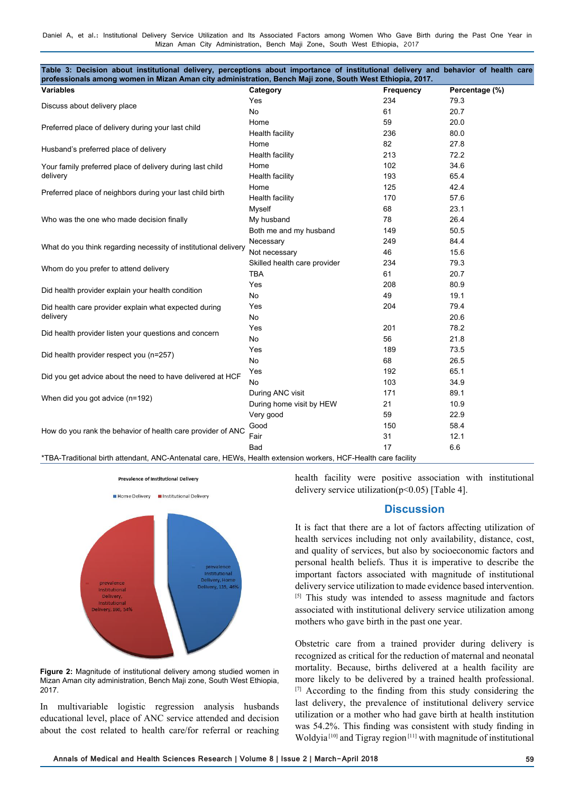| Table 3: Decision about institutional delivery, perceptions about importance of institutional delivery and behavior of health care<br>professionals among women in Mizan Aman city administration, Bench Maji zone, South West Ethiopia, 2017. |                              |                  |                |
|------------------------------------------------------------------------------------------------------------------------------------------------------------------------------------------------------------------------------------------------|------------------------------|------------------|----------------|
| <b>Variables</b>                                                                                                                                                                                                                               | Category                     | <b>Frequency</b> | Percentage (%) |
|                                                                                                                                                                                                                                                | Yes                          | 234              | 79.3           |
| Discuss about delivery place                                                                                                                                                                                                                   | No                           | 61               | 20.7           |
|                                                                                                                                                                                                                                                | Home                         | 59               | 20.0           |
| Preferred place of delivery during your last child                                                                                                                                                                                             | Health facility              | 236              | 80.0           |
|                                                                                                                                                                                                                                                | Home                         | 82               | 27.8           |
| Husband's preferred place of delivery                                                                                                                                                                                                          | Health facility              | 213              | 72.2           |
| Your family preferred place of delivery during last child                                                                                                                                                                                      | Home                         | 102              | 34.6           |
| delivery                                                                                                                                                                                                                                       | Health facility              | 193              | 65.4           |
|                                                                                                                                                                                                                                                | Home                         | 125              | 42.4           |
| Preferred place of neighbors during your last child birth                                                                                                                                                                                      | Health facility              | 170              | 57.6           |
|                                                                                                                                                                                                                                                | Myself                       | 68               | 23.1           |
| Who was the one who made decision finally                                                                                                                                                                                                      | My husband                   | 78               | 26.4           |
|                                                                                                                                                                                                                                                | Both me and my husband       | 149              | 50.5           |
|                                                                                                                                                                                                                                                | Necessary                    | 249              | 84.4           |
| What do you think regarding necessity of institutional delivery                                                                                                                                                                                | Not necessary                | 46               | 15.6           |
|                                                                                                                                                                                                                                                | Skilled health care provider | 234              | 79.3           |
| Whom do you prefer to attend delivery                                                                                                                                                                                                          | <b>TBA</b>                   | 61               | 20.7           |
|                                                                                                                                                                                                                                                | Yes                          | 208              | 80.9           |
| Did health provider explain your health condition                                                                                                                                                                                              | No                           | 49               | 19.1           |
| Did health care provider explain what expected during                                                                                                                                                                                          | Yes                          | 204              | 79.4           |
| delivery                                                                                                                                                                                                                                       | No                           |                  | 20.6           |
|                                                                                                                                                                                                                                                | Yes                          | 201              | 78.2           |
| Did health provider listen your questions and concern                                                                                                                                                                                          | No.                          | 56               | 21.8           |
|                                                                                                                                                                                                                                                | Yes                          | 189              | 73.5           |
| Did health provider respect you (n=257)                                                                                                                                                                                                        | No                           | 68               | 26.5           |
|                                                                                                                                                                                                                                                | Yes                          | 192              | 65.1           |
| Did you get advice about the need to have delivered at HCF                                                                                                                                                                                     | No.                          | 103              | 34.9           |
|                                                                                                                                                                                                                                                | During ANC visit             | 171              | 89.1           |
| When did you got advice (n=192)                                                                                                                                                                                                                | During home visit by HEW     | 21               | 10.9           |
|                                                                                                                                                                                                                                                | Very good                    | 59               | 22.9           |
|                                                                                                                                                                                                                                                | Good                         | 150              | 58.4           |
| How do you rank the behavior of health care provider of ANC                                                                                                                                                                                    | Fair                         | 31               | 12.1           |
|                                                                                                                                                                                                                                                | Bad                          | 17               | 6.6            |
| *TBA-Traditional birth attendant, ANC-Antenatal care, HEWs, Health extension workers, HCF-Health care facility                                                                                                                                 |                              |                  |                |



**Figure 2:** Magnitude of institutional delivery among studied women in Mizan Aman city administration, Bench Maji zone, South West Ethiopia, 2017.

In multivariable logistic regression analysis husbands educational level, place of ANC service attended and decision about the cost related to health care/for referral or reaching

health facility were positive association with institutional delivery service utilization( $p<0.05$ ) [Table 4].

# **Discussion**

It is fact that there are a lot of factors affecting utilization of health services including not only availability, distance, cost, and quality of services, but also by socioeconomic factors and personal health beliefs. Thus it is imperative to describe the important factors associated with magnitude of institutional delivery service utilization to made evidence based intervention. [5] This study was intended to assess magnitude and factors associated with institutional delivery service utilization among mothers who gave birth in the past one year.

Obstetric care from a trained provider during delivery is recognized as critical for the reduction of maternal and neonatal mortality. Because, births delivered at a health facility are more likely to be delivered by a trained health professional. [7] According to the finding from this study considering the last delivery, the prevalence of institutional delivery service utilization or a mother who had gave birth at health institution was 54.2%. This finding was consistent with study finding in Woldyia [10] and Tigray region [11] with magnitude of institutional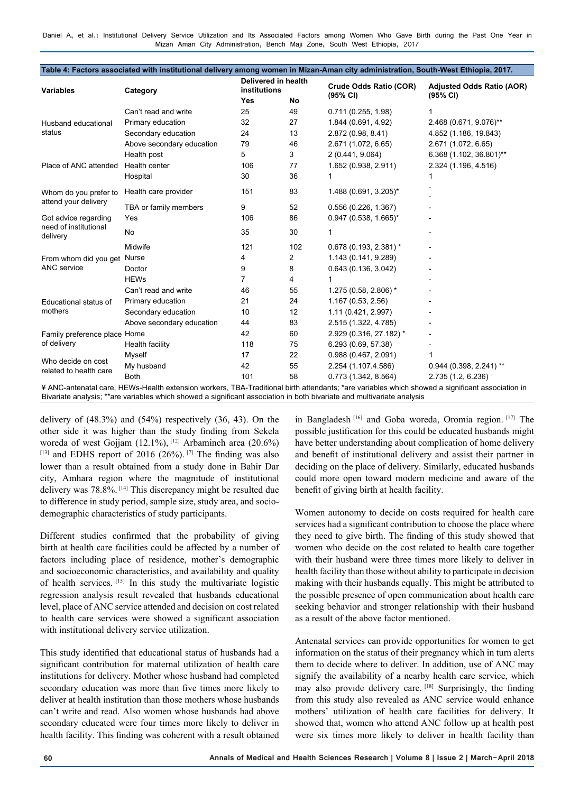| <b>Variables</b>                              | Category                                                                                                                                        | Delivered in health<br>institutions |           | Crude Odds Ratio (COR)  | <b>Adjusted Odds Ratio (AOR)</b> |
|-----------------------------------------------|-------------------------------------------------------------------------------------------------------------------------------------------------|-------------------------------------|-----------|-------------------------|----------------------------------|
|                                               |                                                                                                                                                 | <b>Yes</b>                          | <b>No</b> | (95% CI)                | (95% CI)                         |
|                                               | Can't read and write                                                                                                                            | 25                                  | 49        | 0.711(0.255, 1.98)      |                                  |
| Husband educational<br>status                 | Primary education                                                                                                                               | 32                                  | 27        | 1.844 (0.691, 4.92)     | 2.468 (0.671, 9.076)**           |
|                                               | Secondary education                                                                                                                             | 24                                  | 13        | 2.872 (0.98, 8.41)      | 4.852 (1.186, 19.843)            |
|                                               | Above secondary education                                                                                                                       | 79                                  | 46        | 2.671 (1.072, 6.65)     | 2.671 (1.072, 6.65)              |
|                                               | Health post                                                                                                                                     | 5                                   | 3         | 2 (0.441, 9.064)        | 6.368 (1.102, 36.801)**          |
| Place of ANC attended                         | Health center                                                                                                                                   | 106                                 | 77        | 1.652 (0.938, 2.911)    | 2.324 (1.196, 4.516)             |
|                                               | Hospital                                                                                                                                        | 30                                  | 36        | 1                       |                                  |
| Whom do you prefer to<br>attend your delivery | Health care provider                                                                                                                            | 151                                 | 83        | 1.488 (0.691, 3.205)*   |                                  |
|                                               | TBA or family members                                                                                                                           | 9                                   | 52        | 0.556(0.226, 1.367)     |                                  |
| Got advice regarding                          | Yes                                                                                                                                             | 106                                 | 86        | $0.947$ (0.538, 1.665)* |                                  |
| need of institutional<br>delivery             | <b>No</b>                                                                                                                                       | 35                                  | 30        | 1                       |                                  |
| From whom did you get Nurse                   | Midwife                                                                                                                                         | 121                                 | 102       | $0.678(0.193, 2.381)^*$ |                                  |
|                                               |                                                                                                                                                 | 4                                   | 2         | 1.143 (0.141, 9.289)    |                                  |
| <b>ANC</b> service                            | Doctor                                                                                                                                          | 9                                   | 8         | 0.643(0.136, 3.042)     |                                  |
|                                               | <b>HEWs</b>                                                                                                                                     | 7                                   | 4         | 1                       |                                  |
|                                               | Can't read and write                                                                                                                            | 46                                  | 55        | 1.275 (0.58, 2.806) *   |                                  |
| Educational status of<br>mothers              | Primary education                                                                                                                               | 21                                  | 24        | 1.167(0.53, 2.56)       |                                  |
|                                               | Secondary education                                                                                                                             | 10                                  | 12        | 1.11 (0.421, 2.997)     |                                  |
|                                               | Above secondary education                                                                                                                       | 44                                  | 83        | 2.515 (1.322, 4.785)    |                                  |
| Family preference place Home<br>of delivery   |                                                                                                                                                 | 42                                  | 60        | 2.929 (0.316, 27.182) * |                                  |
|                                               | Health facility                                                                                                                                 | 118                                 | 75        | 6.293 (0.69, 57.38)     |                                  |
| Who decide on cost<br>related to health care  | Myself                                                                                                                                          | 17                                  | 22        | 0.988(0.467, 2.091)     |                                  |
|                                               | My husband                                                                                                                                      | 42                                  | 55        | 2.254 (1.107.4.586)     | $0.944(0.398, 2.241)$ **         |
|                                               | <b>Both</b>                                                                                                                                     | 101                                 | 58        | 0.773(1.342, 8.564)     | 2.735 (1.2, 6.236)               |
|                                               | ¥ ANC-antenatal care, HEWs-Health extension workers, TBA-Traditional birth attendants; *are variables which showed a significant association in |                                     |           |                         |                                  |

Bivariate analysis; \*\*are variables which showed a significant association in both bivariate and multivariate analysis

delivery of  $(48.3\%)$  and  $(54\%)$  respectively  $(36, 43)$ . On the other side it was higher than the study finding from Sekela woreda of west Gojjam  $(12.1\%)$ ,  $[12]$  Arbaminch area  $(20.6\%)$  $[13]$  and EDHS report of 2016 (26%).  $[7]$  The finding was also lower than a result obtained from a study done in Bahir Dar city, Amhara region where the magnitude of institutional delivery was 78.8%. [14] This discrepancy might be resulted due to difference in study period, sample size, study area, and sociodemographic characteristics of study participants.

Different studies confirmed that the probability of giving birth at health care facilities could be affected by a number of factors including place of residence, mother's demographic and socioeconomic characteristics, and availability and quality of health services. [15] In this study the multivariate logistic regression analysis result revealed that husbands educational level, place of ANC service attended and decision on cost related to health care services were showed a significant association with institutional delivery service utilization.

This study identified that educational status of husbands had a significant contribution for maternal utilization of health care institutions for delivery. Mother whose husband had completed secondary education was more than five times more likely to deliver at health institution than those mothers whose husbands can't write and read. Also women whose husbands had above secondary educated were four times more likely to deliver in health facility. This finding was coherent with a result obtained

in Bangladesh [16] and Goba woreda, Oromia region. [17] The possible justification for this could be educated husbands might have better understanding about complication of home delivery and benefit of institutional delivery and assist their partner in deciding on the place of delivery. Similarly, educated husbands could more open toward modern medicine and aware of the benefit of giving birth at health facility.

Women autonomy to decide on costs required for health care services had a significant contribution to choose the place where they need to give birth. The finding of this study showed that women who decide on the cost related to health care together with their husband were three times more likely to deliver in health facility than those without ability to participate in decision making with their husbands equally. This might be attributed to the possible presence of open communication about health care seeking behavior and stronger relationship with their husband as a result of the above factor mentioned.

Antenatal services can provide opportunities for women to get information on the status of their pregnancy which in turn alerts them to decide where to deliver. In addition, use of ANC may signify the availability of a nearby health care service, which may also provide delivery care. [18] Surprisingly, the finding from this study also revealed as ANC service would enhance mothers' utilization of health care facilities for delivery. It showed that, women who attend ANC follow up at health post were six times more likely to deliver in health facility than